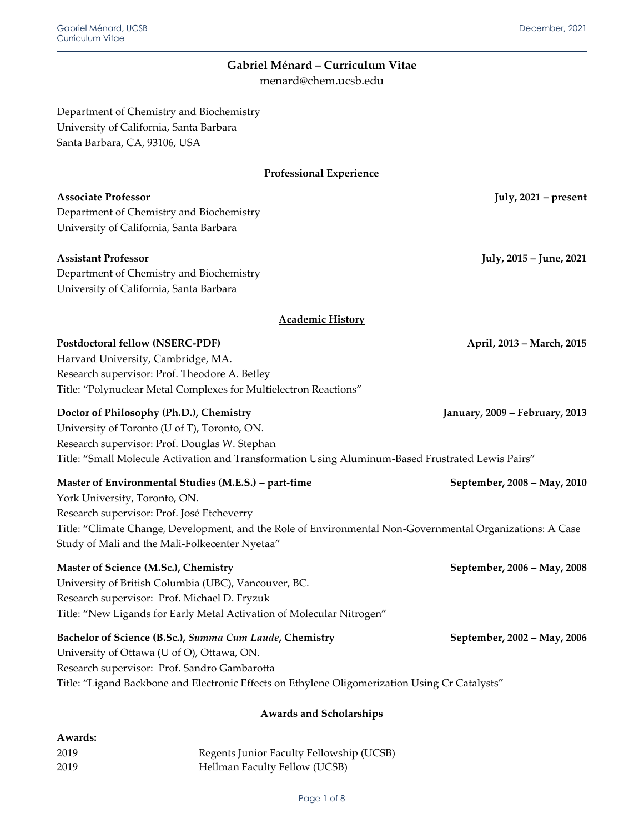| Gabriel Ménard - Curriculum Vitae<br>menard@chem.ucsb.edu                                                                                                                                                                                                                                                                         |                                |  |
|-----------------------------------------------------------------------------------------------------------------------------------------------------------------------------------------------------------------------------------------------------------------------------------------------------------------------------------|--------------------------------|--|
| Department of Chemistry and Biochemistry<br>University of California, Santa Barbara<br>Santa Barbara, CA, 93106, USA                                                                                                                                                                                                              |                                |  |
| <b>Professional Experience</b>                                                                                                                                                                                                                                                                                                    |                                |  |
| <b>Associate Professor</b><br>Department of Chemistry and Biochemistry<br>University of California, Santa Barbara                                                                                                                                                                                                                 | July, 2021 – present           |  |
| <b>Assistant Professor</b><br>Department of Chemistry and Biochemistry<br>University of California, Santa Barbara                                                                                                                                                                                                                 | July, 2015 - June, 2021        |  |
| <b>Academic History</b>                                                                                                                                                                                                                                                                                                           |                                |  |
| Postdoctoral fellow (NSERC-PDF)<br>Harvard University, Cambridge, MA.<br>Research supervisor: Prof. Theodore A. Betley<br>Title: "Polynuclear Metal Complexes for Multielectron Reactions"                                                                                                                                        | April, 2013 - March, 2015      |  |
| Doctor of Philosophy (Ph.D.), Chemistry<br>University of Toronto (U of T), Toronto, ON.<br>Research supervisor: Prof. Douglas W. Stephan                                                                                                                                                                                          | January, 2009 - February, 2013 |  |
| Title: "Small Molecule Activation and Transformation Using Aluminum-Based Frustrated Lewis Pairs"                                                                                                                                                                                                                                 |                                |  |
| Master of Environmental Studies (M.E.S.) – part-time<br>September, 2008 - May, 2010<br>York University, Toronto, ON.<br>Research supervisor: Prof. José Etcheverry<br>Title: "Climate Change, Development, and the Role of Environmental Non-Governmental Organizations: A Case<br>Study of Mali and the Mali-Folkecenter Nyetaa" |                                |  |
| Master of Science (M.Sc.), Chemistry<br>University of British Columbia (UBC), Vancouver, BC.<br>Research supervisor: Prof. Michael D. Fryzuk<br>Title: "New Ligands for Early Metal Activation of Molecular Nitrogen"                                                                                                             | September, 2006 - May, 2008    |  |
| Bachelor of Science (B.Sc.), Summa Cum Laude, Chemistry<br>University of Ottawa (U of O), Ottawa, ON.<br>Research supervisor: Prof. Sandro Gambarotta<br>Title: "Ligand Backbone and Electronic Effects on Ethylene Oligomerization Using Cr Catalysts"                                                                           | September, 2002 - May, 2006    |  |

# **Awards and Scholarships**

| Awards: |                                          |
|---------|------------------------------------------|
| 2019    | Regents Junior Faculty Fellowship (UCSB) |
| 2019    | Hellman Faculty Fellow (UCSB)            |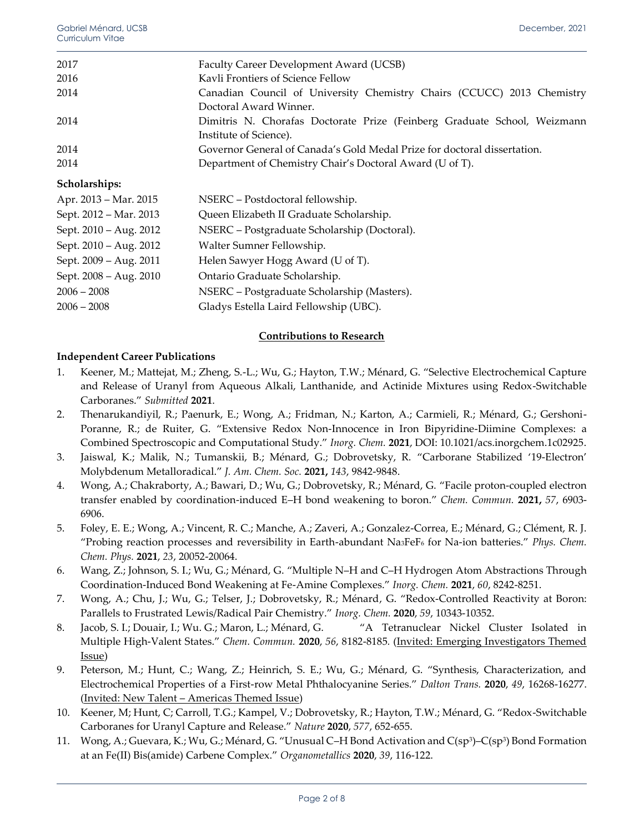| 2017<br>2016                                                                                  | Faculty Career Development Award (UCSB)<br>Kayli Frontiers of Science Fellow |  |
|-----------------------------------------------------------------------------------------------|------------------------------------------------------------------------------|--|
|                                                                                               |                                                                              |  |
| 2014                                                                                          | Canadian Council of University Chemistry Chairs (CCUCC) 2013 Chemistry       |  |
|                                                                                               | Doctoral Award Winner.                                                       |  |
| 2014                                                                                          | Dimitris N. Chorafas Doctorate Prize (Feinberg Graduate School, Weizmann     |  |
|                                                                                               | Institute of Science).                                                       |  |
| 2014                                                                                          | Governor General of Canada's Gold Medal Prize for doctoral dissertation.     |  |
| 2014                                                                                          | Department of Chemistry Chair's Doctoral Award (U of T).                     |  |
| $C_1$ , $C_2$ , $C_3$ , $C_4$ , $C_5$ , $C_6$ , $C_7$ , $C_8$ , $C_9$ , $C_9$ , $C_9$ , $C_9$ |                                                                              |  |

## **Scholarships:**

| Apr. 2013 - Mar. 2015  | NSERC - Postdoctoral fellowship.             |
|------------------------|----------------------------------------------|
| Sept. 2012 - Mar. 2013 | Queen Elizabeth II Graduate Scholarship.     |
| Sept. 2010 – Aug. 2012 | NSERC - Postgraduate Scholarship (Doctoral). |
| Sept. 2010 – Aug. 2012 | Walter Sumner Fellowship.                    |
| Sept. 2009 - Aug. 2011 | Helen Sawyer Hogg Award (U of T).            |
| Sept. 2008 - Aug. 2010 | Ontario Graduate Scholarship.                |
| $2006 - 2008$          | NSERC – Postgraduate Scholarship (Masters).  |
| $2006 - 2008$          | Gladys Estella Laird Fellowship (UBC).       |

## **Contributions to Research**

## **Independent Career Publications**

- 1. Keener, M.; Mattejat, M.; Zheng, S.-L.; Wu, G.; Hayton, T.W.; Ménard, G. "Selective Electrochemical Capture and Release of Uranyl from Aqueous Alkali, Lanthanide, and Actinide Mixtures using Redox-Switchable Carboranes." *Submitted* **2021**.
- 2. Thenarukandiyil, R.; Paenurk, E.; Wong, A.; Fridman, N.; Karton, A.; Carmieli, R.; Ménard, G.; Gershoni-Poranne, R.; de Ruiter, G. "Extensive Redox Non-Innocence in Iron Bipyridine-Diimine Complexes: a Combined Spectroscopic and Computational Study." *Inorg. Chem.* **2021**, DOI: 10.1021/acs.inorgchem.1c02925.
- 3. Jaiswal, K.; Malik, N.; Tumanskii, B.; Ménard, G.; Dobrovetsky, R. "Carborane Stabilized '19-Electron' Molybdenum Metalloradical." *J. Am. Chem. Soc.* **2021,** *143*, 9842-9848.
- 4. Wong, A.; Chakraborty, A.; Bawari, D.; Wu, G.; Dobrovetsky, R.; Ménard, G. "Facile proton-coupled electron transfer enabled by coordination-induced E–H bond weakening to boron." *Chem. Commun.* **2021,** *57*, 6903- 6906.
- 5. Foley, E. E.; Wong, A.; Vincent, R. C.; Manche, A.; Zaveri, A.; Gonzalez-Correa, E.; Ménard, G.; Clément, R. J. "Probing reaction processes and reversibility in Earth-abundant Na3FeF<sup>6</sup> for Na-ion batteries." *Phys. Chem. Chem. Phys.* **2021**, *23*, 20052-20064.
- 6. Wang, Z.; Johnson, S. I.; Wu, G.; Ménard, G. "Multiple N–H and C–H Hydrogen Atom Abstractions Through Coordination-Induced Bond Weakening at Fe-Amine Complexes." *Inorg. Chem.* **2021**, *60*, 8242-8251.
- 7. Wong, A.; Chu, J.; Wu, G.; Telser, J.; Dobrovetsky, R.; Ménard, G. "Redox-Controlled Reactivity at Boron: Parallels to Frustrated Lewis/Radical Pair Chemistry." *Inorg. Chem.* **2020**, *59*, 10343-10352.
- 8. Jacob, S. I.; Douair, I.; Wu. G.; Maron, L.; Ménard, G. "A Tetranuclear Nickel Cluster Isolated in Multiple High-Valent States." *Chem. Commun.* **2020**, *56*, 8182-8185*.* (Invited: Emerging Investigators Themed Issue)
- 9. Peterson, M.; Hunt, C.; Wang, Z.; Heinrich, S. E.; Wu, G.; Ménard, G. "Synthesis, Characterization, and Electrochemical Properties of a First-row Metal Phthalocyanine Series." *Dalton Trans.* **2020**, *49*, 16268-16277. (Invited: New Talent – Americas Themed Issue)
- 10. Keener, M; Hunt, C; Carroll, T.G.; Kampel, V.; Dobrovetsky, R.; Hayton, T.W.; Ménard, G. "Redox-Switchable Carboranes for Uranyl Capture and Release." *Nature* **2020**, *577*, 652-655.
- 11. Wong, A.; Guevara, K.; Wu, G.; Ménard, G. "Unusual C–H Bond Activation and C(sp3)–C(sp3) Bond Formation at an Fe(II) Bis(amide) Carbene Complex." *Organometallics* **2020**, *39*, 116-122.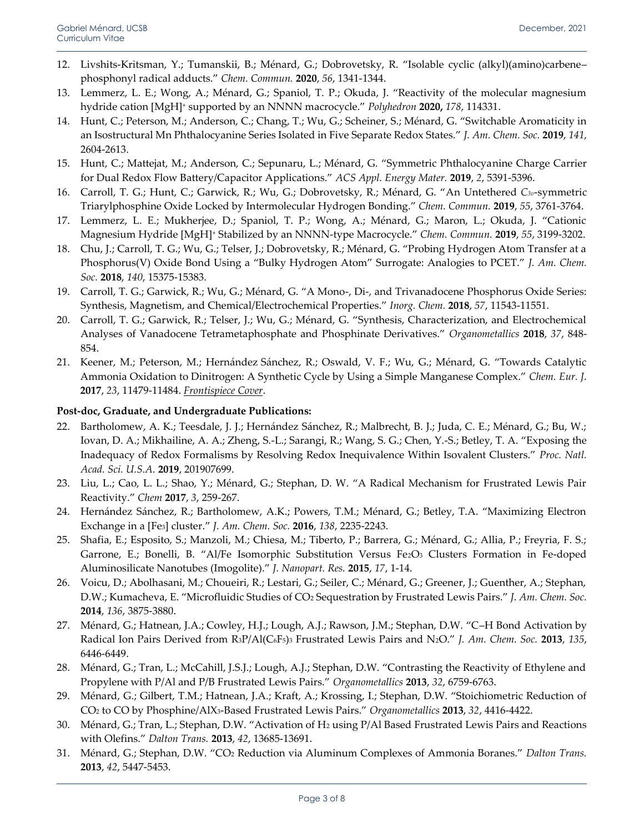- 12. Livshits-Kritsman, Y.; Tumanskii, B.; Ménard, G.; Dobrovetsky, R. "Isolable cyclic (alkyl)(amino)carbene– phosphonyl radical adducts." *Chem. Commun.* **2020**, *56*, 1341-1344.
- 13. Lemmerz, L. E.; Wong, A.; Ménard, G.; Spaniol, T. P.; Okuda, J. "Reactivity of the molecular magnesium hydride cation [MgH]<sup>+</sup> supported by an NNNN macrocycle." *Polyhedron* **2020,** *178*, 114331.
- 14. Hunt, C.; Peterson, M.; Anderson, C.; Chang, T.; Wu, G.; Scheiner, S.; Ménard, G. "Switchable Aromaticity in an Isostructural Mn Phthalocyanine Series Isolated in Five Separate Redox States." *J. Am. Chem. Soc.* **2019**, *141*, 2604-2613.
- 15. Hunt, C.; Mattejat, M.; Anderson, C.; Sepunaru, L.; Ménard, G. "Symmetric Phthalocyanine Charge Carrier for Dual Redox Flow Battery/Capacitor Applications." *ACS Appl. Energy Mater.* **2019**, *2*, 5391-5396.
- 16. Carroll, T. G.; Hunt, C.; Garwick, R.; Wu, G.; Dobrovetsky, R.; Ménard, G. "An Untethered *C3v*-symmetric Triarylphosphine Oxide Locked by Intermolecular Hydrogen Bonding." *Chem. Commun.* **2019**, *55*, 3761-3764.
- 17. Lemmerz, L. E.; Mukherjee, D.; Spaniol, T. P.; Wong, A.; Ménard, G.; Maron, L.; Okuda, J. "Cationic Magnesium Hydride [MgH]<sup>+</sup> Stabilized by an NNNN-type Macrocycle." *Chem. Commun.* **2019**, *55*, 3199-3202.
- 18. Chu, J.; Carroll, T. G.; Wu, G.; Telser, J.; Dobrovetsky, R.; Ménard, G. "Probing Hydrogen Atom Transfer at a Phosphorus(V) Oxide Bond Using a "Bulky Hydrogen Atom" Surrogate: Analogies to PCET." *J. Am. Chem. Soc.* **2018**, *140*, 15375-15383.
- 19. Carroll, T. G.; Garwick, R.; Wu, G.; Ménard, G. "A Mono-, Di-, and Trivanadocene Phosphorus Oxide Series: Synthesis, Magnetism, and Chemical/Electrochemical Properties." *Inorg. Chem.* **2018**, *57*, 11543-11551.
- 20. Carroll, T. G.; Garwick, R.; Telser, J.; Wu, G.; Ménard, G. "Synthesis, Characterization, and Electrochemical Analyses of Vanadocene Tetrametaphosphate and Phosphinate Derivatives." *Organometallics* **2018**, *37*, 848- 854.
- 21. Keener, M.; Peterson, M.; Hernández Sánchez, R.; Oswald, V. F.; Wu, G.; Ménard, G. "Towards Catalytic Ammonia Oxidation to Dinitrogen: A Synthetic Cycle by Using a Simple Manganese Complex." *Chem. Eur. J.* **2017**, *23*, 11479-11484. *Frontispiece Cover*.

## **Post-doc, Graduate, and Undergraduate Publications:**

- 22. Bartholomew, A. K.; Teesdale, J. J.; Hernández Sánchez, R.; Malbrecht, B. J.; Juda, C. E.; Ménard, G.; Bu, W.; Iovan, D. A.; Mikhailine, A. A.; Zheng, S.-L.; Sarangi, R.; Wang, S. G.; Chen, Y.-S.; Betley, T. A. "Exposing the Inadequacy of Redox Formalisms by Resolving Redox Inequivalence Within Isovalent Clusters." *Proc. Natl. Acad. Sci. U.S.A.* **2019**, 201907699.
- 23. Liu, L.; Cao, L. L.; Shao, Y.; Ménard, G.; Stephan, D. W. "A Radical Mechanism for Frustrated Lewis Pair Reactivity." *Chem* **2017**, *3*, 259-267.
- 24. Hernández Sánchez, R.; Bartholomew, A.K.; Powers, T.M.; Ménard, G.; Betley, T.A. "Maximizing Electron Exchange in a [Fe3] cluster." *J. Am. Chem. Soc.* **2016**, *138*, 2235-2243.
- 25. Shafia, E.; Esposito, S.; Manzoli, M.; Chiesa, M.; Tiberto, P.; Barrera, G.; Ménard, G.; Allia, P.; Freyria, F. S.; Garrone, E.; Bonelli, B. "Al/Fe Isomorphic Substitution Versus Fe2O3 Clusters Formation in Fe-doped Aluminosilicate Nanotubes (Imogolite)." *J. Nanopart. Res.* **2015**, *17*, 1-14.
- 26. Voicu, D.; Abolhasani, M.; Choueiri, R.; Lestari, G.; Seiler, C.; Ménard, G.; Greener, J.; Guenther, A.; Stephan, D.W.; Kumacheva, E. "Microfluidic Studies of CO<sup>2</sup> Sequestration by Frustrated Lewis Pairs." *J. Am. Chem. Soc.* **2014**, *136*, 3875-3880.
- 27. Ménard, G.; Hatnean, J.A.; Cowley, H.J.; Lough, A.J.; Rawson, J.M.; Stephan, D.W. "C–H Bond Activation by Radical Ion Pairs Derived from R3P/Al(C6F5)<sup>3</sup> Frustrated Lewis Pairs and N2O." *J. Am. Chem. Soc.* **2013**, *135*, 6446-6449.
- 28. Ménard, G.; Tran, L.; McCahill, J.S.J.; Lough, A.J.; Stephan, D.W. "Contrasting the Reactivity of Ethylene and Propylene with P/Al and P/B Frustrated Lewis Pairs." *Organometallics* **2013**, *32*, 6759-6763.
- 29. Ménard, G.; Gilbert, T.M.; Hatnean, J.A.; Kraft, A.; Krossing, I.; Stephan, D.W. "Stoichiometric Reduction of CO<sup>2</sup> to CO by Phosphine/AlX3-Based Frustrated Lewis Pairs." *Organometallics* **2013**, *32*, 4416-4422.
- 30. Ménard, G.; Tran, L.; Stephan, D.W. "Activation of H<sup>2</sup> using P/Al Based Frustrated Lewis Pairs and Reactions with Olefins." *Dalton Trans.* **2013**, *42*, 13685-13691.
- 31. Ménard, G.; Stephan, D.W. "CO<sup>2</sup> Reduction via Aluminum Complexes of Ammonia Boranes." *Dalton Trans.* **2013**, *42*, 5447-5453.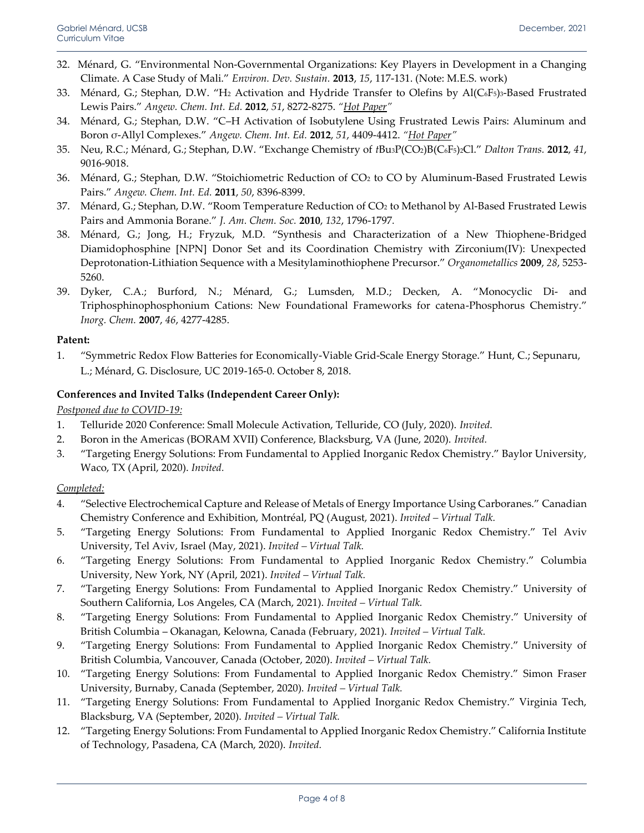- 32. Ménard, G. "Environmental Non-Governmental Organizations: Key Players in Development in a Changing Climate. A Case Study of Mali." *Environ. Dev. Sustain.* **2013**, *15*, 117-131. (Note: M.E.S. work)
- 33. Ménard, G.; Stephan, D.W. "H2 Activation and Hydride Transfer to Olefins by Al(C6F5)3-Based Frustrated Lewis Pairs." *Angew. Chem. Int. Ed.* **2012**, *51*, 8272-8275. *"Hot Paper"*
- 34. Ménard, G.; Stephan, D.W. "C–H Activation of Isobutylene Using Frustrated Lewis Pairs: Aluminum and Boron σ-Allyl Complexes." *Angew. Chem. Int. Ed.* **2012**, *51*, 4409-4412. *"Hot Paper"*
- 35. Neu, R.C.; Ménard, G.; Stephan, D.W. "Exchange Chemistry of *t*Bu3P(CO2)B(C6F5)2Cl." *Dalton Trans.* **2012**, *41*, 9016-9018.
- 36. Ménard, G.; Stephan, D.W. "Stoichiometric Reduction of CO<sub>2</sub> to CO by Aluminum-Based Frustrated Lewis Pairs." *Angew. Chem. Int. Ed.* **2011**, *50*, 8396-8399.
- 37. Ménard, G.; Stephan, D.W. "Room Temperature Reduction of CO<sub>2</sub> to Methanol by Al-Based Frustrated Lewis Pairs and Ammonia Borane." *J. Am. Chem. Soc.* **2010**, *132*, 1796-1797*.*
- 38. Ménard, G.; Jong, H.; Fryzuk, M.D. "Synthesis and Characterization of a New Thiophene-Bridged Diamidophosphine [NPN] Donor Set and its Coordination Chemistry with Zirconium(IV): Unexpected Deprotonation-Lithiation Sequence with a Mesitylaminothiophene Precursor." *Organometallics* **2009**, *28*, 5253- 5260.
- 39. Dyker, C.A.; Burford, N.; Ménard, G.; Lumsden, M.D.; Decken, A. "Monocyclic Di- and Triphosphinophosphonium Cations: New Foundational Frameworks for catena-Phosphorus Chemistry." *Inorg. Chem.* **2007**, *46*, 4277-4285.

## **Patent:**

1. "Symmetric Redox Flow Batteries for Economically-Viable Grid-Scale Energy Storage." Hunt, C.; Sepunaru, L.; Ménard, G. Disclosure, UC 2019-165-0. October 8, 2018.

## **Conferences and Invited Talks (Independent Career Only):**

*Postponed due to COVID-19:*

- 1. Telluride 2020 Conference: Small Molecule Activation, Telluride, CO (July, 2020). *Invited.*
- 2. Boron in the Americas (BORAM XVII) Conference, Blacksburg, VA (June, 2020). *Invited.*
- 3. "Targeting Energy Solutions: From Fundamental to Applied Inorganic Redox Chemistry." Baylor University, Waco, TX (April, 2020). *Invited.*

## *Completed:*

- 4. "Selective Electrochemical Capture and Release of Metals of Energy Importance Using Carboranes." Canadian Chemistry Conference and Exhibition, Montréal, PQ (August, 2021). *Invited – Virtual Talk.*
- 5. "Targeting Energy Solutions: From Fundamental to Applied Inorganic Redox Chemistry." Tel Aviv University, Tel Aviv, Israel (May, 2021). *Invited – Virtual Talk.*
- 6. "Targeting Energy Solutions: From Fundamental to Applied Inorganic Redox Chemistry." Columbia University, New York, NY (April, 2021). *Invited – Virtual Talk.*
- 7. "Targeting Energy Solutions: From Fundamental to Applied Inorganic Redox Chemistry." University of Southern California, Los Angeles, CA (March, 2021). *Invited – Virtual Talk.*
- 8. "Targeting Energy Solutions: From Fundamental to Applied Inorganic Redox Chemistry." University of British Columbia – Okanagan, Kelowna, Canada (February, 2021). *Invited – Virtual Talk.*
- 9. "Targeting Energy Solutions: From Fundamental to Applied Inorganic Redox Chemistry." University of British Columbia, Vancouver, Canada (October, 2020). *Invited – Virtual Talk.*
- 10. "Targeting Energy Solutions: From Fundamental to Applied Inorganic Redox Chemistry." Simon Fraser University, Burnaby, Canada (September, 2020). *Invited – Virtual Talk.*
- 11. "Targeting Energy Solutions: From Fundamental to Applied Inorganic Redox Chemistry." Virginia Tech, Blacksburg, VA (September, 2020). *Invited – Virtual Talk.*
- 12. "Targeting Energy Solutions: From Fundamental to Applied Inorganic Redox Chemistry." California Institute of Technology, Pasadena, CA (March, 2020). *Invited.*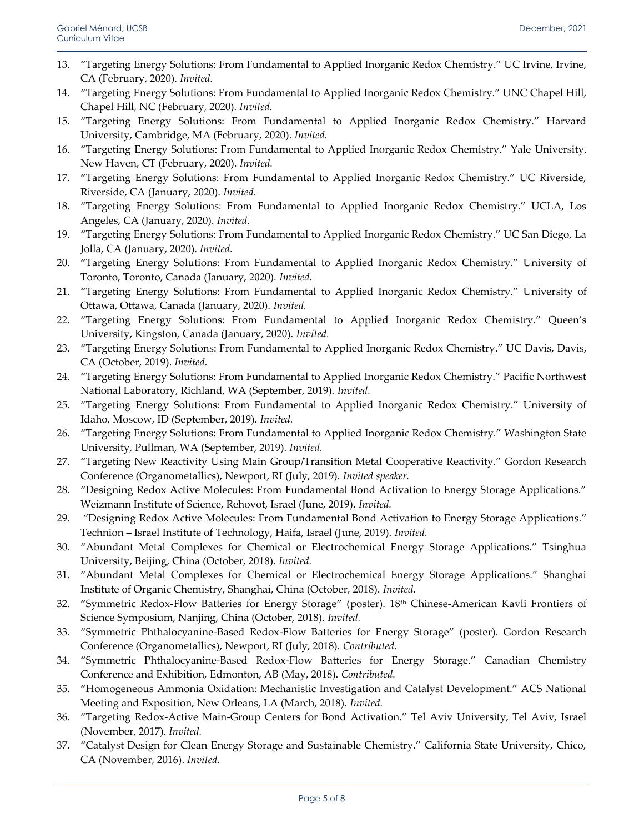- 13. "Targeting Energy Solutions: From Fundamental to Applied Inorganic Redox Chemistry." UC Irvine, Irvine, CA (February, 2020). *Invited.*
- 14. "Targeting Energy Solutions: From Fundamental to Applied Inorganic Redox Chemistry." UNC Chapel Hill, Chapel Hill, NC (February, 2020). *Invited.*
- 15. "Targeting Energy Solutions: From Fundamental to Applied Inorganic Redox Chemistry." Harvard University, Cambridge, MA (February, 2020). *Invited.*
- 16. "Targeting Energy Solutions: From Fundamental to Applied Inorganic Redox Chemistry." Yale University, New Haven, CT (February, 2020). *Invited.*
- 17. "Targeting Energy Solutions: From Fundamental to Applied Inorganic Redox Chemistry." UC Riverside, Riverside, CA (January, 2020). *Invited.*
- 18. "Targeting Energy Solutions: From Fundamental to Applied Inorganic Redox Chemistry." UCLA, Los Angeles, CA (January, 2020). *Invited.*
- 19. "Targeting Energy Solutions: From Fundamental to Applied Inorganic Redox Chemistry." UC San Diego, La Jolla, CA (January, 2020). *Invited.*
- 20. "Targeting Energy Solutions: From Fundamental to Applied Inorganic Redox Chemistry." University of Toronto, Toronto, Canada (January, 2020). *Invited.*
- 21. "Targeting Energy Solutions: From Fundamental to Applied Inorganic Redox Chemistry." University of Ottawa, Ottawa, Canada (January, 2020). *Invited.*
- 22. "Targeting Energy Solutions: From Fundamental to Applied Inorganic Redox Chemistry." Queen's University, Kingston, Canada (January, 2020). *Invited.*
- 23. "Targeting Energy Solutions: From Fundamental to Applied Inorganic Redox Chemistry." UC Davis, Davis, CA (October, 2019). *Invited.*
- 24. "Targeting Energy Solutions: From Fundamental to Applied Inorganic Redox Chemistry." Pacific Northwest National Laboratory, Richland, WA (September, 2019). *Invited.*
- 25. "Targeting Energy Solutions: From Fundamental to Applied Inorganic Redox Chemistry." University of Idaho, Moscow, ID (September, 2019). *Invited.*
- 26. "Targeting Energy Solutions: From Fundamental to Applied Inorganic Redox Chemistry." Washington State University, Pullman, WA (September, 2019). *Invited.*
- 27. "Targeting New Reactivity Using Main Group/Transition Metal Cooperative Reactivity." Gordon Research Conference (Organometallics), Newport, RI (July, 2019). *Invited speaker.*
- 28. "Designing Redox Active Molecules: From Fundamental Bond Activation to Energy Storage Applications." Weizmann Institute of Science, Rehovot, Israel (June, 2019). *Invited.*
- 29. "Designing Redox Active Molecules: From Fundamental Bond Activation to Energy Storage Applications." Technion – Israel Institute of Technology, Haifa, Israel (June, 2019). *Invited.*
- 30. "Abundant Metal Complexes for Chemical or Electrochemical Energy Storage Applications." Tsinghua University, Beijing, China (October, 2018). *Invited.*
- 31. "Abundant Metal Complexes for Chemical or Electrochemical Energy Storage Applications." Shanghai Institute of Organic Chemistry, Shanghai, China (October, 2018). *Invited.*
- 32. "Symmetric Redox-Flow Batteries for Energy Storage" (poster). 18<sup>th</sup> Chinese-American Kavli Frontiers of Science Symposium, Nanjing, China (October, 2018). *Invited.*
- 33. "Symmetric Phthalocyanine-Based Redox-Flow Batteries for Energy Storage" (poster). Gordon Research Conference (Organometallics), Newport, RI (July, 2018). *Contributed.*
- 34. "Symmetric Phthalocyanine-Based Redox-Flow Batteries for Energy Storage." Canadian Chemistry Conference and Exhibition, Edmonton, AB (May, 2018). *Contributed.*
- 35. "Homogeneous Ammonia Oxidation: Mechanistic Investigation and Catalyst Development." ACS National Meeting and Exposition, New Orleans, LA (March, 2018). *Invited.*
- 36. "Targeting Redox-Active Main-Group Centers for Bond Activation." Tel Aviv University, Tel Aviv, Israel (November, 2017). *Invited.*
- 37. "Catalyst Design for Clean Energy Storage and Sustainable Chemistry." California State University, Chico, CA (November, 2016). *Invited.*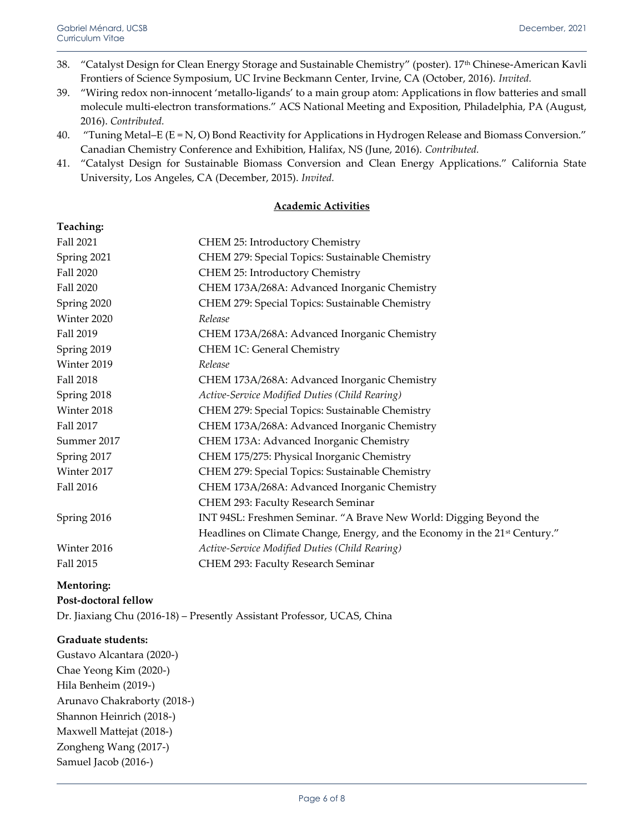- 38. "Catalyst Design for Clean Energy Storage and Sustainable Chemistry" (poster). 17<sup>th</sup> Chinese-American Kavli Frontiers of Science Symposium, UC Irvine Beckmann Center, Irvine, CA (October, 2016). *Invited.*
- 39. "Wiring redox non-innocent 'metallo-ligands' to a main group atom: Applications in flow batteries and small molecule multi-electron transformations." ACS National Meeting and Exposition, Philadelphia, PA (August, 2016). *Contributed.*
- 40. "Tuning Metal–E (E = N, O) Bond Reactivity for Applications in Hydrogen Release and Biomass Conversion." Canadian Chemistry Conference and Exhibition, Halifax, NS (June, 2016). *Contributed.*
- 41. "Catalyst Design for Sustainable Biomass Conversion and Clean Energy Applications." California State University, Los Angeles, CA (December, 2015). *Invited.*

### **Academic Activities**

## **Teaching:**

| CHEM 25: Introductory Chemistry                                                        |
|----------------------------------------------------------------------------------------|
| CHEM 279: Special Topics: Sustainable Chemistry                                        |
| CHEM 25: Introductory Chemistry                                                        |
| CHEM 173A/268A: Advanced Inorganic Chemistry                                           |
| CHEM 279: Special Topics: Sustainable Chemistry                                        |
| Release                                                                                |
| CHEM 173A/268A: Advanced Inorganic Chemistry                                           |
| <b>CHEM 1C: General Chemistry</b>                                                      |
| Release                                                                                |
| CHEM 173A/268A: Advanced Inorganic Chemistry                                           |
| Active-Service Modified Duties (Child Rearing)                                         |
| CHEM 279: Special Topics: Sustainable Chemistry                                        |
| CHEM 173A/268A: Advanced Inorganic Chemistry                                           |
| CHEM 173A: Advanced Inorganic Chemistry                                                |
| CHEM 175/275: Physical Inorganic Chemistry                                             |
| CHEM 279: Special Topics: Sustainable Chemistry                                        |
| CHEM 173A/268A: Advanced Inorganic Chemistry                                           |
| CHEM 293: Faculty Research Seminar                                                     |
| INT 94SL: Freshmen Seminar. "A Brave New World: Digging Beyond the                     |
| Headlines on Climate Change, Energy, and the Economy in the 21 <sup>st</sup> Century." |
| Active-Service Modified Duties (Child Rearing)                                         |
| CHEM 293: Faculty Research Seminar                                                     |
|                                                                                        |

## **Mentoring:**

**Post-doctoral fellow**

Dr. Jiaxiang Chu (2016-18) – Presently Assistant Professor, UCAS, China

## **Graduate students:**

Gustavo Alcantara (2020-) Chae Yeong Kim (2020-) Hila Benheim (2019-) Arunavo Chakraborty (2018-) Shannon Heinrich (2018-) Maxwell Mattejat (2018-) Zongheng Wang (2017-) Samuel Jacob (2016-)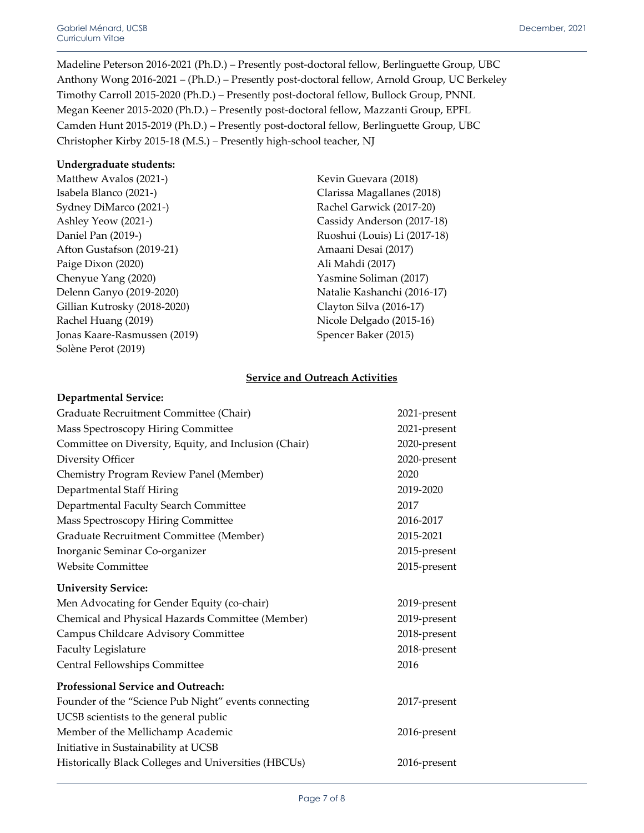Madeline Peterson 2016-2021 (Ph.D.) – Presently post-doctoral fellow, Berlinguette Group, UBC Anthony Wong 2016-2021 – (Ph.D.) – Presently post-doctoral fellow, Arnold Group, UC Berkeley Timothy Carroll 2015-2020 (Ph.D.) – Presently post-doctoral fellow, Bullock Group, PNNL Megan Keener 2015-2020 (Ph.D.) – Presently post-doctoral fellow, Mazzanti Group, EPFL Camden Hunt 2015-2019 (Ph.D.) – Presently post-doctoral fellow, Berlinguette Group, UBC Christopher Kirby 2015-18 (M.S.) – Presently high-school teacher, NJ

#### **Undergraduate students:**

- Matthew Avalos (2021-) Kevin Guevara (2018) Isabela Blanco (2021-) Clarissa Magallanes (2018) Sydney DiMarco (2021-) Rachel Garwick (2017-20) Ashley Yeow (2021-) Cassidy Anderson (2017-18) Daniel Pan (2019-) Ruoshui (Louis) Li (2017-18) Afton Gustafson (2019-21) Amaani Desai (2017) Paige Dixon (2020) Ali Mahdi (2017) Chenyue Yang (2020) Yasmine Soliman (2017) Delenn Ganyo (2019-2020) Natalie Kashanchi (2016-17) Gillian Kutrosky (2018-2020) Clayton Silva (2016-17) Rachel Huang (2019) **Nicole Delgado** (2015-16) Jonas Kaare-Rasmussen (2019) Spencer Baker (2015) Solène Perot (2019)
	-

### **Service and Outreach Activities**

| <b>Departmental Service:</b>                          |              |
|-------------------------------------------------------|--------------|
| Graduate Recruitment Committee (Chair)                | 2021-present |
| Mass Spectroscopy Hiring Committee                    | 2021-present |
| Committee on Diversity, Equity, and Inclusion (Chair) | 2020-present |
| Diversity Officer                                     | 2020-present |
| Chemistry Program Review Panel (Member)               | 2020         |
| Departmental Staff Hiring                             | 2019-2020    |
| Departmental Faculty Search Committee                 | 2017         |
| Mass Spectroscopy Hiring Committee                    | 2016-2017    |
| Graduate Recruitment Committee (Member)               | 2015-2021    |
| Inorganic Seminar Co-organizer                        | 2015-present |
| <b>Website Committee</b>                              | 2015-present |
| <b>University Service:</b>                            |              |
| Men Advocating for Gender Equity (co-chair)           | 2019-present |
| Chemical and Physical Hazards Committee (Member)      | 2019-present |
| Campus Childcare Advisory Committee                   | 2018-present |
| <b>Faculty Legislature</b>                            | 2018-present |
| Central Fellowships Committee                         | 2016         |
| <b>Professional Service and Outreach:</b>             |              |
| Founder of the "Science Pub Night" events connecting  | 2017-present |
| UCSB scientists to the general public                 |              |
| Member of the Mellichamp Academic                     | 2016-present |
| Initiative in Sustainability at UCSB                  |              |
| Historically Black Colleges and Universities (HBCUs)  | 2016-present |